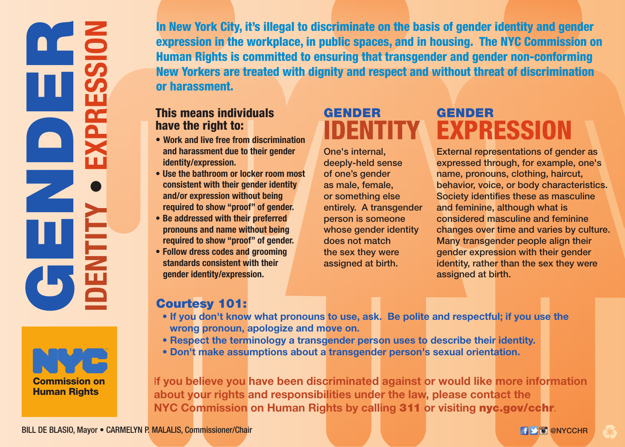REDEN<br>GENDER **ing**<br>Signal **EXPRESSION** $\frac{1}{2}$  $\bullet$ **IDENTITY**



In New York City, it's illegal to discriminate on the basis of gender identity and gender expression in the workplace, in public spaces, and in housing. The NYC Commission on Human Rights is committed to ensuring that transgender and gender non-conforming New Yorkers are treated with dignity and respect and without threat of discrimination or harassment.

#### This means individuals have the right to:

- **Work and live free from discrimination and harassment due to their gender identity/expression.**
- **Use the bathroom or locker room most consistent with their gender identity and/or expression without being required to show "proof" of gender.**
- **Be addressed with their preferred pronouns and name without being required to show "proof" of gender.**
- **Follow dress codes and grooming standards consistent with their gender identity/expression.**

### GENDER IDENTITY

One's internal, deeply-held sense of one's gender as male, female, or something else entirely. A transgender person is someone whose gender identity does not match the sex they were assigned at birth.

## GENDER EXPRESSION

External representations of gender as expressed through, for example, one's name, pronouns, clothing, haircut, behavior, voice, or body characteristics. Society identifies these as masculine and feminine, although what is considered masculine and feminine changes over time and varies by culture. Many transgender people align their gender expression with their gender identity, rather than the sex they were assigned at birth.

#### Courtesy 101:

- **If you don't know what pronouns to use, ask. Be polite and respectful; if you use the wrong pronoun, apologize and move on.**
- **Respect the terminology a transgender person uses to describe their identity.**
- **Don't make assumptions about a transgender person's sexual orientation.**

I**f you believe you have been discriminated against or would like more information about your rights and responsibilities under the law, please contact the NYC Commission on Human Rights by calling** 311 **or visiting** nyc.gov/cchr.